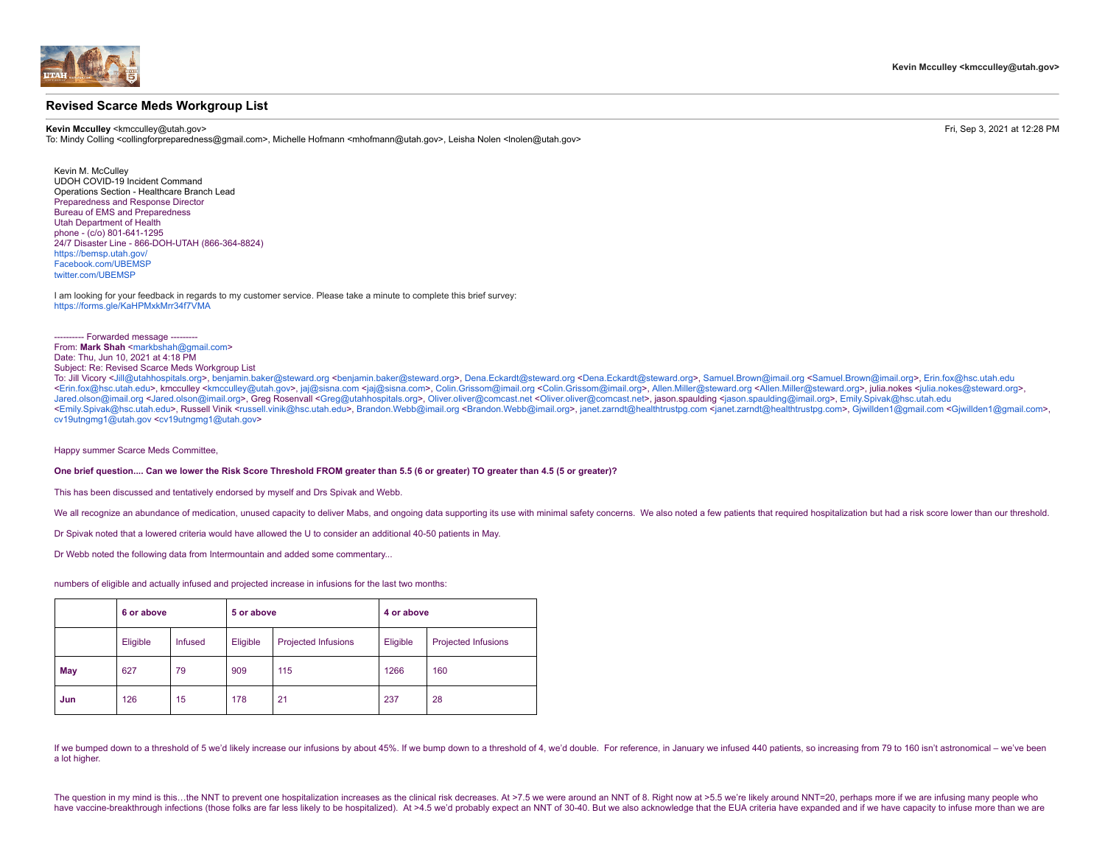

## **Revised Scarce Meds Workgroup List**

**Kevin Mcculley** <kmcculley@utah.gov> Fri, Sep 3, 2021 at 12:28 PM

To: Mindy Colling <collingforpreparedness@gmail.com>, Michelle Hofmann <mhofmann@utah.gov>, Leisha Nolen <lnolen@utah.gov>

Kevin M. McCulley UDOH COVID-19 Incident Command Operations Section - Healthcare Branch Lead Preparedness and Response Director Bureau of EMS and Preparedness Utah Department of Health phone - (c/o) 801-641-1295 24/7 Disaster Line - 866-DOH-UTAH (866-364-8824) [https://bemsp.utah.gov/](http://health.utah.gov/preparedness/) [Facebook.com/UBEMSP](http://facebook.com/UBEMSP) twitter.com/LIBEMSP

I am looking for your feedback in regards to my customer service. Please take a minute to complete this brief survey: <https://forms.gle/KaHPMxkMrr34f7VMA>

--- Forwarded message -------

From: Mark Shah [<markbshah@gmail.com](mailto:markbshah@gmail.com)>

Date: Thu, Jun 10, 2021 at 4:18 PM Subject: Re: Revised Scarce Meds Workgroup List

To: Jill Vicory <[Jill@utahhospitals.org>](mailto:Jill@utahhospitals.org), [benjamin.baker@steward.org](mailto:benjamin.baker@steward.org) <[benjamin.baker@steward.org](mailto:benjamin.baker@steward.org)>, [Dena.Eckardt@steward.org <Dena.Eckardt@steward.org](mailto:Dena.Eckardt@steward.org)>, [Samuel.Brown@imail.org](mailto:Samuel.Brown@imail.org) <[Samuel.Brown@imail.org>](mailto:Samuel.Brown@imail.org), [Erin.fox@hsc.utah.edu](mailto:Erin.fox@hsc.utah.edu) <[Erin.fox@hsc.utah.edu>](mailto:Erin.fox@hsc.utah.edu), kmcculley <[kmcculley@utah.gov](mailto:kmcculley@utah.gov)>, [jaj@sisna.com <jaj@sisna.com](mailto:jaj@sisna.com)>, [Colin.Grissom@imail.org <Colin.Grissom@imail.org>](mailto:Colin.Grissom@imail.org), [Allen.Miller@steward.org](mailto:Allen.Miller@steward.org) [<Allen.Miller@steward.org>](mailto:Allen.Miller@steward.org), julia.nokes <julia.nokes@stewa [Jared.olson@imail.org](mailto:Jared.olson@imail.org) <[Jared.olson@imail.org>](mailto:Jared.olson@imail.org), Greg Rosenvall <[Greg@utahhospitals.org>](mailto:Greg@utahhospitals.org), [Oliver.oliver@comcast.net <Oliver.oliver@comcast.net](mailto:Oliver.oliver@comcast.net)>, jason.spaulding <[jason.spaulding@imail.org](mailto:jason.spaulding@imail.org)>, [Emily.Spivak@hsc.utah.edu](mailto:Emily.Spivak@hsc.utah.edu) <[Emily.Spivak@hsc.utah.edu>](mailto:Emily.Spivak@hsc.utah.edu), Russell Vinik<[russell.vinik@hsc.utah.edu>](mailto:russell.vinik@hsc.utah.edu), [Brandon.Webb@imail.org <Brandon.Webb@imail.org>](mailto:Brandon.Webb@imail.org), janet.zamdt@healthtrustpg.com <janet.zarndt@healthtrustpg.com>, Giwillden1@gmail.com <Giwillden1@gmai [cv19utngmg1@utah.gov <cv19utngmg1@utah.gov](mailto:cv19utngmg1@utah.gov)>

Happy summer Scarce Meds Committee,

**One brief question.... Can we lower the Risk Score Threshold FROM greater than 5.5 (6 or greater) TO greater than 4.5 (5 or greater)?**

This has been discussed and tentatively endorsed by myself and Drs Spivak and Webb.

We all recognize an abundance of medication, unused capacity to deliver Mabs, and ongoing data supporting its use with minimal safety concerns. We also noted a few patients that required hospitalization but had a risk scor

Dr Spivak noted that a lowered criteria would have allowed the U to consider an additional 40-50 patients in May.

Dr Webb noted the following data from Intermountain and added some commentary...

numbers of eligible and actually infused and projected increase in infusions for the last two months:

|     | 6 or above |                | 5 or above |                            | 4 or above |                            |
|-----|------------|----------------|------------|----------------------------|------------|----------------------------|
|     | Eligible   | <b>Infused</b> | Eligible   | <b>Projected Infusions</b> | Eligible   | <b>Projected Infusions</b> |
| May | 627        | 79             | 909        | 115                        | 1266       | 160                        |
| Jun | 126        | 15             | 178        | 21                         | 237        | 28                         |

If we bumped down to a threshold of 5 we'd likely increase our infusions by about 45%. If we bump down to a threshold of 4, we'd double. For reference, in January we infused 440 patients, so increasing from 79 to 160 isn't a lot higher.

The question in my mind is this...the NNT to prevent one hospitalization increases as the clinical risk decreases. At >7.5 we were around an NNT of 8. Right now at >5.5 we're likely around NNT=20, perhaps more if we are in have vaccine-breakthrough infections (those folks are far less likely to be hospitalized). At >4.5 we'd probably expect an NNT of 30-40. But we also acknowledge that the EUA criteria have expanded and if we have capacity t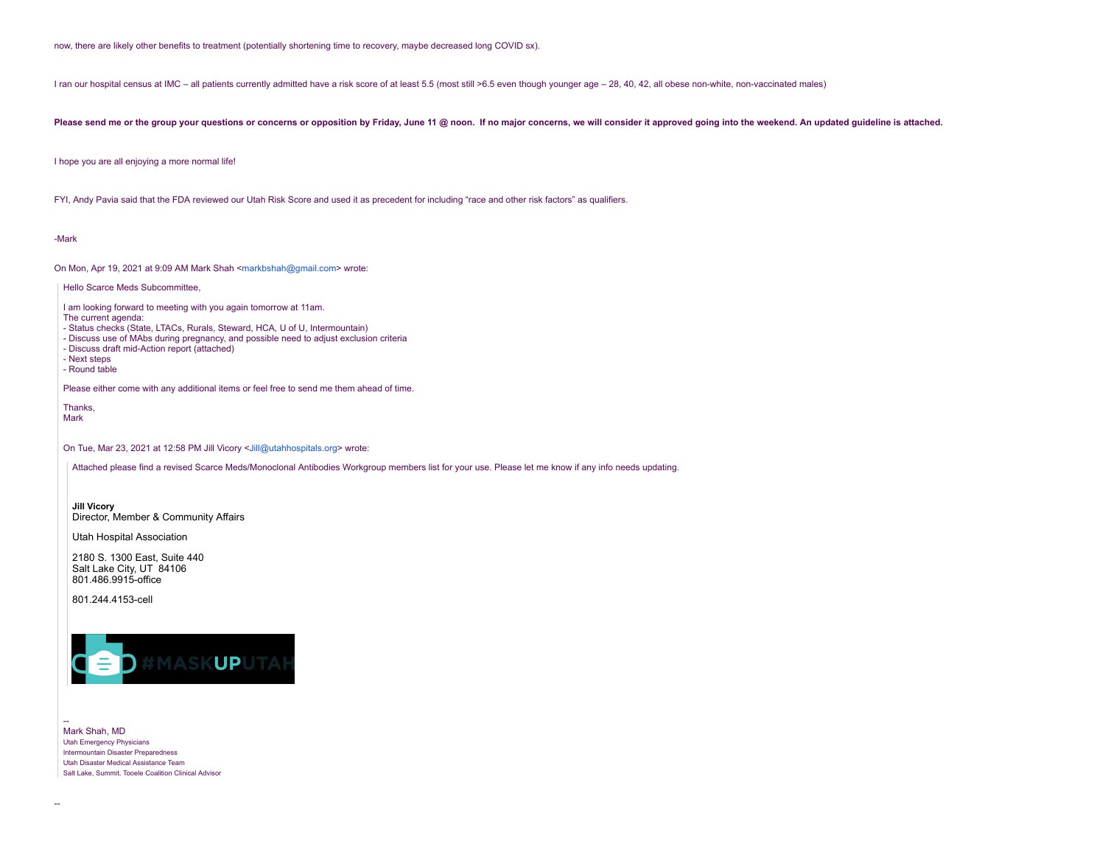now, there are likely other benefits to treatment (potentially shortening time to recovery, maybe decreased long COVID sx).

I ran our hospital census at IMC – all patients currently admitted have a risk score of at least 5.5 (most still >6.5 even though younger age – 28, 40, 42, all obese non-white, non-vaccinated males)

## Please send me or the group your questions or concerns or opposition by Friday, June 11 @ noon. If no major concerns, we will consider it approved going into the weekend. An updated guideline is attached.

I hope you are all enjoying a more normal life!

FYI, Andy Pavia said that the FDA reviewed our Utah Risk Score and used it as precedent for including "race and other risk factors" as qualifiers.

-Mark

On Mon, Apr 19, 2021 at 9:09 AM Mark Shah <[markbshah@gmail.com](mailto:markbshah@gmail.com)> wrote:

Hello Scarce Meds Subcommittee,

I am looking forward to meeting with you again tomorrow at 11am.

The current agenda:

- Status checks (State, LTACs, Rurals, Steward, HCA, U of U, Intermountain)

- Discuss use of MAbs during pregnancy, and possible need to adjust exclusion criteria

- Discuss draft mid-Action report (attached)

- Next steps - Round table

Please either come with any additional items or feel free to send me them ahead of time.

Thanks, Mark

On Tue, Mar 23, 2021 at 12:58 PM Jill Vicory [<Jill@utahhospitals.org](mailto:Jill@utahhospitals.org)> wrote:

Attached please find a revised Scarce Meds/Monoclonal Antibodies Workgroup members list for your use. Please let me know if any info needs updating.

**Jill Vicory** Director, Member & Community Affairs

Utah Hospital Association

2180 S. 1300 East, Suite 440 Salt Lake City, UT 84106 801.486.9915-office

801.244.4153-cell



| Mark Shah, MD                                        |
|------------------------------------------------------|
| <b>Utah Emergency Physicians</b>                     |
| Intermountain Disaster Preparedness                  |
| Utah Disaster Medical Assistance Team                |
| Salt Lake, Summit, Tooele Coalition Clinical Advisor |